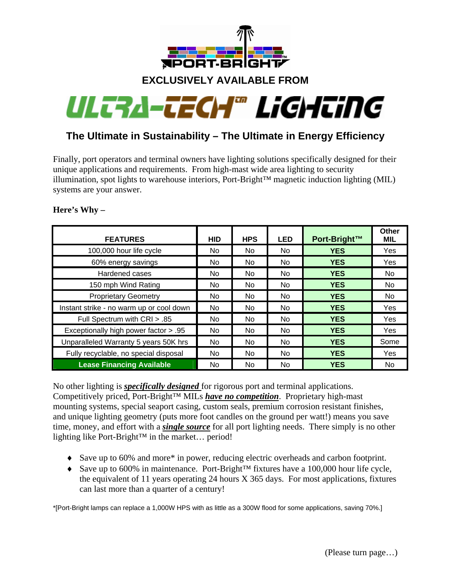

# **EXCLUSIVELY AVAILABLE FROM**



# **The Ultimate in Sustainability – The Ultimate in Energy Efficiency**

Finally, port operators and terminal owners have lighting solutions specifically designed for their unique applications and requirements. From high-mast wide area lighting to security illumination, spot lights to warehouse interiors, Port-Bright™ magnetic induction lighting (MIL) systems are your answer.

| <b>FEATURES</b>                          | <b>HID</b> | <b>HPS</b> | <b>LED</b>     | Port-Bright™ | Other<br><b>MIL</b> |
|------------------------------------------|------------|------------|----------------|--------------|---------------------|
| 100,000 hour life cycle                  | No.        | No         | No.            | <b>YES</b>   | Yes                 |
| 60% energy savings                       | No.        | No.        | No.            | <b>YES</b>   | <b>Yes</b>          |
| Hardened cases                           | No.        | No.        | No.            | <b>YES</b>   | No.                 |
| 150 mph Wind Rating                      | No.        | No.        | No.            | <b>YES</b>   | No.                 |
| <b>Proprietary Geometry</b>              | No.        | No.        | No.            | <b>YES</b>   | No.                 |
| Instant strike - no warm up or cool down | No.        | No.        | No.            | <b>YES</b>   | Yes                 |
| Full Spectrum with CRI > .85             | No.        | No.        | <b>No</b>      | <b>YES</b>   | Yes                 |
| Exceptionally high power factor > .95    | No.        | No.        | N <sub>o</sub> | <b>YES</b>   | <b>Yes</b>          |
| Unparalleled Warranty 5 years 50K hrs    | No.        | No.        | N <sub>o</sub> | <b>YES</b>   | Some                |
| Fully recyclable, no special disposal    | No         | No.        | No.            | <b>YES</b>   | Yes                 |
| <b>Lease Financing Available</b>         | No.        | No.        | No.            | <b>YES</b>   | No.                 |

## **Here's Why –**

No other lighting is *specifically designed* for rigorous port and terminal applications. Competitively priced, Port-Bright™ MILs *have no competition*. Proprietary high-mast mounting systems, special seaport casing, custom seals, premium corrosion resistant finishes, and unique lighting geometry (puts more foot candles on the ground per watt!) means you save time, money, and effort with a *single source* for all port lighting needs. There simply is no other lighting like Port-Bright™ in the market… period!

- ♦ Save up to 60% and more\* in power, reducing electric overheads and carbon footprint.
- ♦ Save up to 600% in maintenance. Port-Bright™ fixtures have a 100,000 hour life cycle, the equivalent of 11 years operating 24 hours X 365 days. For most applications, fixtures can last more than a quarter of a century!

\*[Port-Bright lamps can replace a 1,000W HPS with as little as a 300W flood for some applications, saving 70%.]